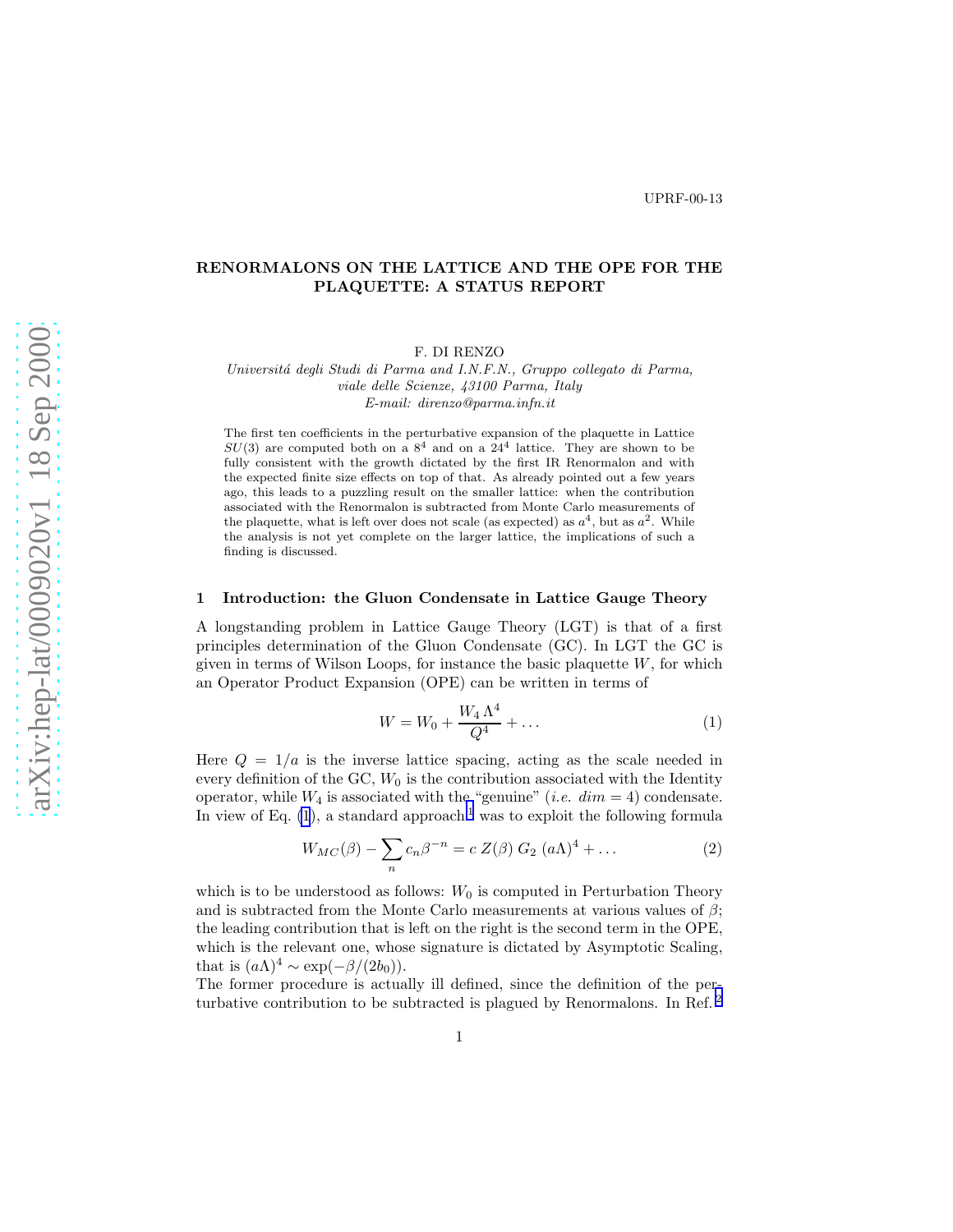# RENORMALONS ON THE LATTICE AND THE OPE FOR THE PLAQUETTE: A STATUS REPORT

F. DI RENZO

*Universit´a degli Studi di Parma and I.N.F.N., Gruppo collegato di Parma, viale delle Scienze, 43100 Parma, Italy E-mail: direnzo@parma.infn.it*

The first ten coefficients in the perturbative expansion of the plaquette in Lattice  $SU(3)$  are computed both on a  $8^4$  and on a  $24^4$  lattice. They are shown to be fully consistent with the growth dictated by the first IR Renormalon and with the expected finite size effects on top of that. As already pointed out a few years ago, this leads to a puzzling result on the smaller lattice: when the contribution associated with the Renormalon is subtracted from Monte Carlo measurements of the plaquette, what is left over does not scale (as expected) as  $a^4$ , but as  $a^2$ . While the analysis is not yet complete on the larger lattice, the implications of such a finding is discussed.

#### 1 Introduction: the Gluon Condensate in Lattice Gauge Theory

A longstanding problem in Lattice Gauge Theory (LGT) is that of a first principles determination of the Gluon Condensate (GC). In LGT the GC is given in terms of Wilson Loops, for instance the basic plaquette  $W$ , for which an Operator Product Expansion (OPE) can be written in terms of

$$
W = W_0 + \frac{W_4 \Lambda^4}{Q^4} + \dots \tag{1}
$$

Here  $Q = 1/a$  is the inverse lattice spacing, acting as the scale needed in every definition of the GC,  $W_0$  is the contribution associated with the Identity operator, while  $W_4$  is associated with the "genuine" (*i.e.*  $dim = 4$ ) condensate. In view of Eq.  $(1)$  $(1)$  $(1)$ , a standard approach<sup>1</sup> was to exploit the following formula

$$
W_{MC}(\beta) - \sum_{n} c_n \beta^{-n} = c Z(\beta) G_2 (a\Lambda)^4 + \dots \tag{2}
$$

which is to be understood as follows:  $W_0$  is computed in Perturbation Theory and is subtracted from the Monte Carlo measurements at various values of  $\beta$ : the leading contribution that is left on the right is the second term in the OPE, which is the relevant one, whose signature is dictated by Asymptotic Scaling, that is  $(a\Lambda)^4 \sim \exp(-\beta/(2b_0))$ .

The former procedure is actually ill defined, since the definition of the perturbative contribution to be subtracted is plagued by Renormalons. In Ref. [2](#page-2-0)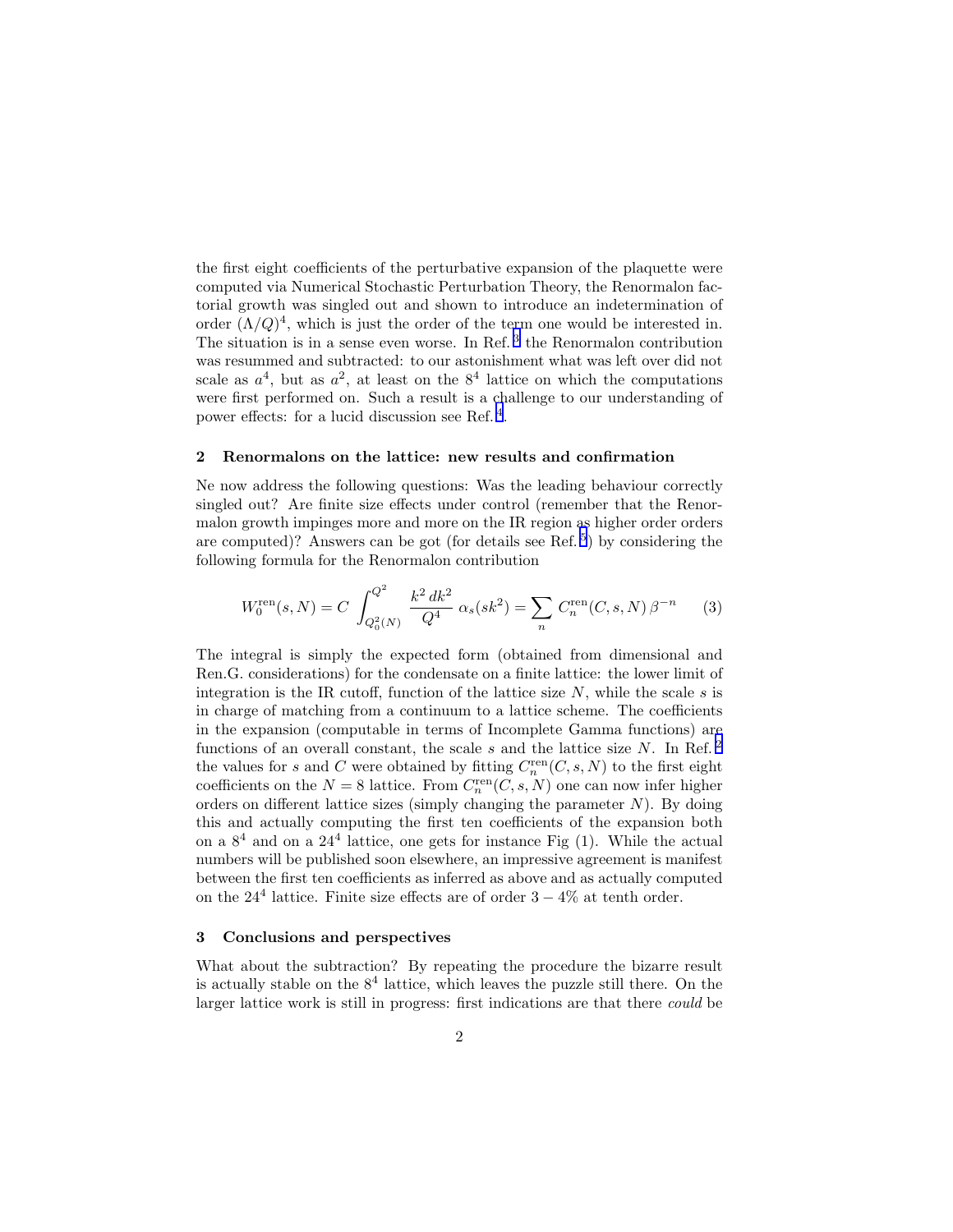the first eight coefficients of the perturbative expansion of the plaquette were computed via Numerical Stochastic Perturbation Theory, the Renormalon factorial growth was singled out and shown to introduce an indetermination of order  $(\Lambda/Q)^4$ , which is just the order of the term one would be interested in. The situation is in a sense even worse. In Ref.<sup>[3](#page-2-0)</sup> the Renormalon contribution was resummed and subtracted: to our astonishment what was left over did not scale as  $a^4$ , but as  $a^2$ , at least on the  $8^4$  lattice on which the computations were first performed on. Such a result is a challenge to our understanding of power effects: for a lucid discussion see Ref.<sup>[4](#page-2-0)</sup>.

#### 2 Renormalons on the lattice: new results and confirmation

Ne now address the following questions: Was the leading behaviour correctly singled out? Are finite size effects under control (remember that the Renormalon growth impinges more and more on the IR region as higher order orders are computed)? Answers can be got (for details see Ref.<sup>[5](#page-2-0)</sup>) by considering the following formula for the Renormalon contribution

$$
W_0^{\text{ren}}(s, N) = C \int_{Q_0^2(N)}^{Q^2} \frac{k^2 \, dk^2}{Q^4} \, \alpha_s(s k^2) = \sum_n C_n^{\text{ren}}(C, s, N) \, \beta^{-n} \tag{3}
$$

The integral is simply the expected form (obtained from dimensional and Ren.G. considerations) for the condensate on a finite lattice: the lower limit of integration is the IR cutoff, function of the lattice size  $N$ , while the scale s is in charge of matching from a continuum to a lattice scheme. The coefficients in the expansion (computable in terms of Incomplete Gamma functions) are functions of an overall constant, the scale s and the lattice size N. In Ref.<sup>[2](#page-2-0)</sup> the values for s and C were obtained by fitting  $C_n^{\text{ren}}(C, s, N)$  to the first eight coefficients on the  $N = 8$  lattice. From  $C_n^{\text{ren}}(C, s, N)$  one can now infer higher orders on different lattice sizes (simply changing the parameter  $N$ ). By doing this and actually computing the first ten coefficients of the expansion both on a  $8<sup>4</sup>$  and on a  $24<sup>4</sup>$  lattice, one gets for instance Fig  $(1)$ . While the actual numbers will be published soon elsewhere, an impressive agreement is manifest between the first ten coefficients as inferred as above and as actually computed on the  $24<sup>4</sup>$  lattice. Finite size effects are of order  $3-4%$  at tenth order.

### 3 Conclusions and perspectives

What about the subtraction? By repeating the procedure the bizarre result is actually stable on the  $8<sup>4</sup>$  lattice, which leaves the puzzle still there. On the larger lattice work is still in progress: first indications are that there could be